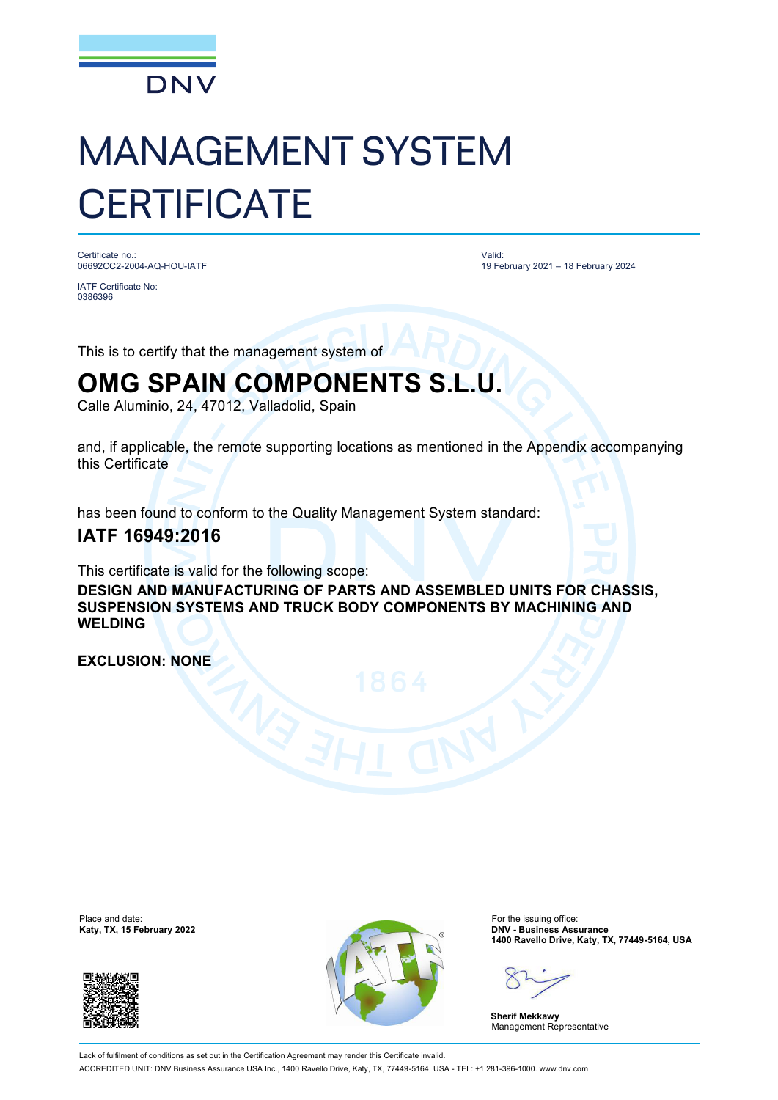

# MANAGEMENT SYSTEM **CERTIFICATE**

Certificate no.: 06692CC2-2004-AQ-HOU-IATF

IATF Certificate No: 0386396

Valid: 19 February 2021 – 18 February 2024

This is to certify that the management system of

## **OMG SPAIN COMPONENTS S.L.U.**

Calle Aluminio, 24, 47012, Valladolid, Spain

and, if applicable, the remote supporting locations as mentioned in the Appendix accompanying this Certificate

has been found to conform to the Quality Management System standard:

### **IATF 16949:2016**

This certificate is valid for the following scope:

**DESIGN AND MANUFACTURING OF PARTS AND ASSEMBLED UNITS FOR CHASSIS, SUSPENSION SYSTEMS AND TRUCK BODY COMPONENTS BY MACHINING AND WELDING**

**EXCLUSION: NONE**

Place and date:<br>Katy, TX, 15 February 2022





For the issuing office:<br>**DNV - Business Assurance 1400 Ravello Drive, Katy, TX, 77449-5164, USA**

**Sherif Mekkawy** Management Representative